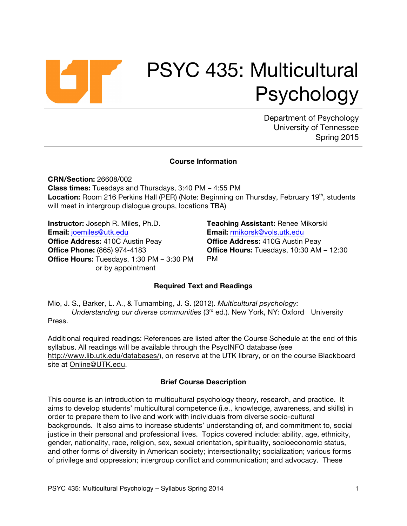

Department of Psychology University of Tennessee Spring 2015

#### **Course Information**

**CRN/Section:** 26608/002 **Class times:** Tuesdays and Thursdays, 3:40 PM – 4:55 PM **Location:** Room 216 Perkins Hall (PER) (Note: Beginning on Thursday, February 19<sup>th</sup>, students will meet in intergroup dialogue groups, locations TBA)

**Instructor:** Joseph R. Miles, Ph.D. **Email:** joemiles@utk.edu **Office Address:** 410C Austin Peay **Office Phone:** (865) 974-4183 **Office Hours:** Tuesdays, 1:30 PM – 3:30 PM or by appointment

**Teaching Assistant:** Renee Mikorski **Email:** rmikorsk@vols.utk.edu **Office Address:** 410G Austin Peay **Office Hours:** Tuesdays, 10:30 AM – 12:30 PM

#### **Required Text and Readings**

Mio, J. S., Barker, L. A., & Tumambing, J. S. (2012). *Multicultural psychology: Understanding our diverse communities* (3rd ed.). New York, NY: Oxford University Press.

Additional required readings: References are listed after the Course Schedule at the end of this syllabus. All readings will be available through the PsycINFO database (see http://www.lib.utk.edu/databases/), on reserve at the UTK library, or on the course Blackboard site at Online@UTK.edu.

#### **Brief Course Description**

This course is an introduction to multicultural psychology theory, research, and practice. It aims to develop students' multicultural competence (i.e., knowledge, awareness, and skills) in order to prepare them to live and work with individuals from diverse socio-cultural backgrounds. It also aims to increase students' understanding of, and commitment to, social justice in their personal and professional lives. Topics covered include: ability, age, ethnicity, gender, nationality, race, religion, sex, sexual orientation, spirituality, socioeconomic status, and other forms of diversity in American society; intersectionality; socialization; various forms of privilege and oppression; intergroup conflict and communication; and advocacy. These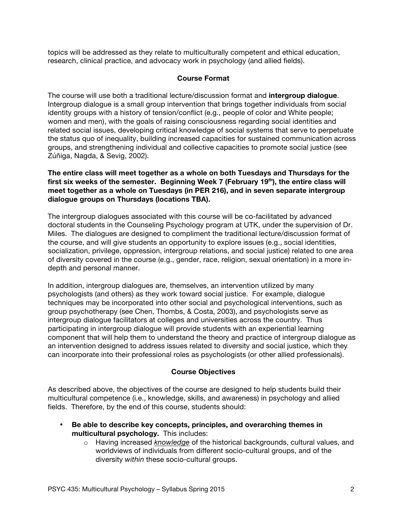topics will be addressed as they relate to multiculturally competent and ethical education, research, clinical practice, and advocacy work in psychology (and allied fields).

# **Course Format**

The course will use both a traditional lecture/discussion format and **intergroup dialogue**. Intergroup dialogue is a small group intervention that brings together individuals from social identity groups with a history of tension/conflict (e.g., people of color and White people; women and men), with the goals of raising consciousness regarding social identities and related social issues, developing critical knowledge of social systems that serve to perpetuate the status quo of inequality, building increased capacities for sustained communication across groups, and strengthening individual and collective capacities to promote social justice (see Zúñiga, Nagda, & Sevig, 2002).

**The entire class will meet together as a whole on both Tuesdays and Thursdays for the**  first six weeks of the semester. Beginning Week 7 (February 19<sup>th</sup>), the entire class will **meet together as a whole on Tuesdays (in PER 216), and in seven separate intergroup dialogue groups on Thursdays (locations TBA).**

The intergroup dialogues associated with this course will be co-facilitated by advanced doctoral students in the Counseling Psychology program at UTK, under the supervision of Dr. Miles. The dialogues are designed to compliment the traditional lecture/discussion format of the course, and will give students an opportunity to explore issues (e.g., social identities, socialization, privilege, oppression, intergroup relations, and social justice) related to one area of diversity covered in the course (e.g., gender, race, religion, sexual orientation) in a more indepth and personal manner.

In addition, intergroup dialogues are, themselves, an intervention utilized by many psychologists (and others) as they work toward social justice. For example, dialogue techniques may be incorporated into other social and psychological interventions, such as group psychotherapy (see Chen, Thombs, & Costa, 2003), and psychologists serve as intergroup dialogue facilitators at colleges and universities across the country. Thus participating in intergroup dialogue will provide students with an experiential learning component that will help them to understand the theory and practice of intergroup dialogue as an intervention designed to address issues related to diversity and social justice, which they can incorporate into their professional roles as psychologists (or other allied professionals).

# **Course Objectives**

As described above, the objectives of the course are designed to help students build their multicultural competence (i.e., knowledge, skills, and awareness) in psychology and allied fields. Therefore, by the end of this course, students should:

- **Be able to describe key concepts, principles, and overarching themes in multicultural psychology.** This includes:
	- o Having increased *knowledge* of the historical backgrounds, cultural values, and worldviews of individuals from different socio-cultural groups, and of the diversity *within* these socio-cultural groups.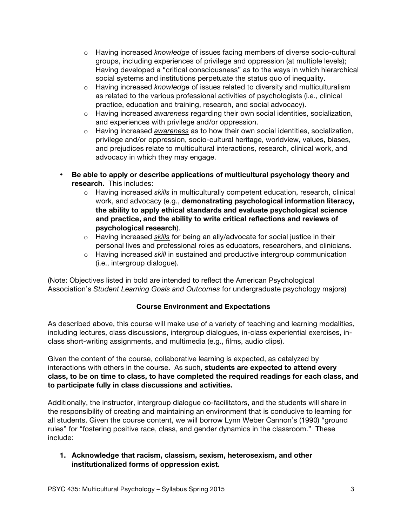- o Having increased *knowledge* of issues facing members of diverse socio-cultural groups, including experiences of privilege and oppression (at multiple levels); Having developed a "critical consciousness" as to the ways in which hierarchical social systems and institutions perpetuate the status quo of inequality.
- o Having increased *knowledge* of issues related to diversity and multiculturalism as related to the various professional activities of psychologists (i.e., clinical practice, education and training, research, and social advocacy).
- o Having increased *awareness* regarding their own social identities, socialization, and experiences with privilege and/or oppression.
- o Having increased *awareness* as to how their own social identities, socialization, privilege and/or oppression, socio-cultural heritage, worldview, values, biases, and prejudices relate to multicultural interactions, research, clinical work, and advocacy in which they may engage.
- **Be able to apply or describe applications of multicultural psychology theory and research.** This includes:
	- o Having increased *skills* in multiculturally competent education, research, clinical work, and advocacy (e.g., **demonstrating psychological information literacy, the ability to apply ethical standards and evaluate psychological science and practice, and the ability to write critical reflections and reviews of psychological research**).
	- o Having increased *skills* for being an ally/advocate for social justice in their personal lives and professional roles as educators, researchers, and clinicians.
	- o Having increased *skill* in sustained and productive intergroup communication (i.e., intergroup dialogue).

(Note: Objectives listed in bold are intended to reflect the American Psychological Association's *Student Learning Goals and Outcomes* for undergraduate psychology majors)

# **Course Environment and Expectations**

As described above, this course will make use of a variety of teaching and learning modalities, including lectures, class discussions, intergroup dialogues, in-class experiential exercises, inclass short-writing assignments, and multimedia (e.g., films, audio clips).

Given the content of the course, collaborative learning is expected, as catalyzed by interactions with others in the course. As such, **students are expected to attend every class, to be on time to class, to have completed the required readings for each class, and to participate fully in class discussions and activities.** 

Additionally, the instructor, intergroup dialogue co-facilitators, and the students will share in the responsibility of creating and maintaining an environment that is conducive to learning for all students. Given the course content, we will borrow Lynn Weber Cannon's (1990) "ground rules" for "fostering positive race, class, and gender dynamics in the classroom." These include:

**1. Acknowledge that racism, classism, sexism, heterosexism, and other institutionalized forms of oppression exist.**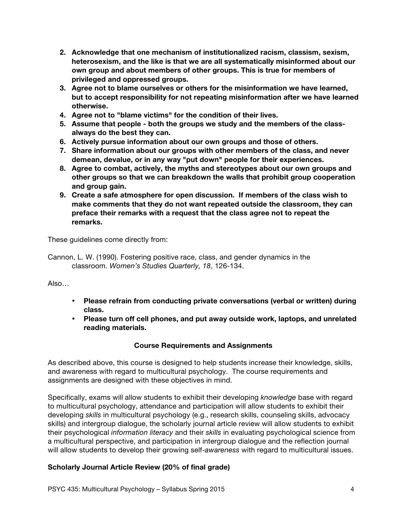- **2. Acknowledge that one mechanism of institutionalized racism, classism, sexism, heterosexism, and the like is that we are all systematically misinformed about our own group and about members of other groups. This is true for members of privileged and oppressed groups.**
- **3. Agree not to blame ourselves or others for the misinformation we have learned, but to accept responsibility for not repeating misinformation after we have learned otherwise.**
- **4. Agree not to "blame victims" for the condition of their lives.**
- **5. Assume that people - both the groups we study and the members of the classalways do the best they can.**
- **6. Actively pursue information about our own groups and those of others.**
- **7. Share information about our groups with other members of the class, and never demean, devalue, or in any way "put down" people for their experiences.**
- **8. Agree to combat, actively, the myths and stereotypes about our own groups and other groups so that we can breakdown the walls that prohibit group cooperation and group gain.**
- **9. Create a safe atmosphere for open discussion. If members of the class wish to make comments that they do not want repeated outside the classroom, they can preface their remarks with a request that the class agree not to repeat the remarks.**

These guidelines come directly from:

Cannon, L. W. (1990). Fostering positive race, class, and gender dynamics in the classroom. *Women's Studies Quarterly, 18*, 126-134.

Also…

- **Please refrain from conducting private conversations (verbal or written) during class.**
- **Please turn off cell phones, and put away outside work, laptops, and unrelated reading materials.**

# **Course Requirements and Assignments**

As described above, this course is designed to help students increase their knowledge, skills, and awareness with regard to multicultural psychology. The course requirements and assignments are designed with these objectives in mind.

Specifically, exams will allow students to exhibit their developing *knowledge* base with regard to multicultural psychology, attendance and participation will allow students to exhibit their developing *skills* in multicultural psychology (e.g., research skills, counseling skills, advocacy skills) and intergroup dialogue, the scholarly journal article review will allow students to exhibit their psychological *information literacy* and their *skills* in evaluating psychological science from a multicultural perspective, and participation in intergroup dialogue and the reflection journal will allow students to develop their growing self-*awareness* with regard to multicultural issues.

# **Scholarly Journal Article Review (20% of final grade)**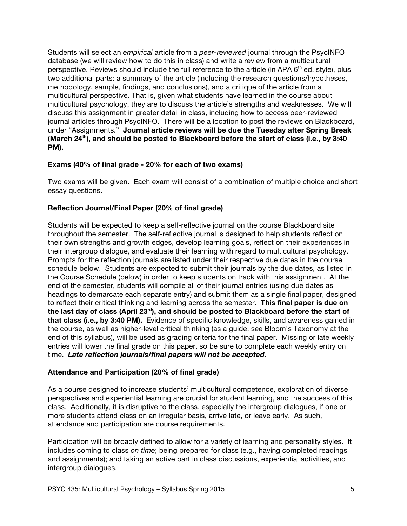Students will select an *empirical* article from a *peer-reviewed* journal through the PsycINFO database (we will review how to do this in class) and write a review from a multicultural perspective. Reviews should include the full reference to the article (in APA 6<sup>th</sup> ed. style), plus two additional parts: a summary of the article (including the research questions/hypotheses, methodology, sample, findings, and conclusions), and a critique of the article from a multicultural perspective. That is, given what students have learned in the course about multicultural psychology, they are to discuss the article's strengths and weaknesses. We will discuss this assignment in greater detail in class, including how to access peer-reviewed journal articles through PsycINFO. There will be a location to post the reviews on Blackboard, under "Assignments." **Journal article reviews will be due the Tuesday after Spring Break** (March 24<sup>th</sup>), and should be posted to Blackboard before the start of class (i.e., by 3:40 **PM).** 

# **Exams (40% of final grade - 20% for each of two exams)**

Two exams will be given. Each exam will consist of a combination of multiple choice and short essay questions.

# **Reflection Journal/Final Paper (20% of final grade)**

Students will be expected to keep a self-reflective journal on the course Blackboard site throughout the semester. The self-reflective journal is designed to help students reflect on their own strengths and growth edges, develop learning goals, reflect on their experiences in their intergroup dialogue, and evaluate their learning with regard to multicultural psychology. Prompts for the reflection journals are listed under their respective due dates in the course schedule below. Students are expected to submit their journals by the due dates, as listed in the Course Schedule (below) in order to keep students on track with this assignment. At the end of the semester, students will compile all of their journal entries (using due dates as headings to demarcate each separate entry) and submit them as a single final paper, designed to reflect their critical thinking and learning across the semester. **This final paper is due on the last day of class (April 23rd), and should be posted to Blackboard before the start of that class (i.e., by 3:40 PM).** Evidence of specific knowledge, skills, and awareness gained in the course, as well as higher-level critical thinking (as a guide, see Bloom's Taxonomy at the end of this syllabus), will be used as grading criteria for the final paper. Missing or late weekly entries will lower the final grade on this paper, so be sure to complete each weekly entry on time. *Late reflection journals/final papers will not be accepted*.

# **Attendance and Participation (20% of final grade)**

As a course designed to increase students' multicultural competence, exploration of diverse perspectives and experiential learning are crucial for student learning, and the success of this class. Additionally, it is disruptive to the class, especially the intergroup dialogues, if one or more students attend class on an irregular basis, arrive late, or leave early. As such, attendance and participation are course requirements.

Participation will be broadly defined to allow for a variety of learning and personality styles. It includes coming to class *on time*; being prepared for class (e.g., having completed readings and assignments); and taking an active part in class discussions, experiential activities, and intergroup dialogues.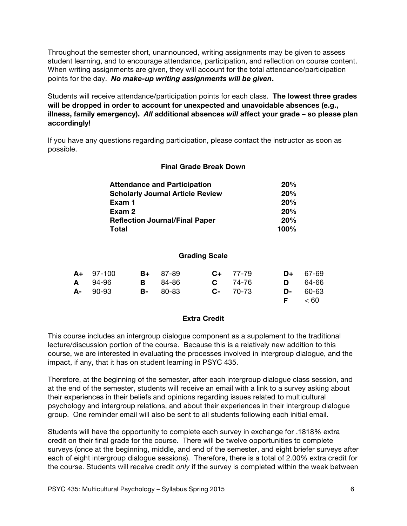Throughout the semester short, unannounced, writing assignments may be given to assess student learning, and to encourage attendance, participation, and reflection on course content. When writing assignments are given, they will account for the total attendance/participation points for the day. *No make-up writing assignments will be given***.**

Students will receive attendance/participation points for each class. **The lowest three grades will be dropped in order to account for unexpected and unavoidable absences (e.g., illness, family emergency).** *All* **additional absences** *will* **affect your grade – so please plan accordingly!**

If you have any questions regarding participation, please contact the instructor as soon as possible.

#### **Final Grade Break Down**

| <b>Attendance and Participation</b>     | 20%  |
|-----------------------------------------|------|
| <b>Scholarly Journal Article Review</b> | 20%  |
| Exam 1                                  | 20%  |
| Exam 2                                  | 20%  |
| <b>Reflection Journal/Final Paper</b>   | 20%  |
| Total                                   | 100% |

#### **Grading Scale**

| $A+ 97-100$ | $B+ 87-89$       | $C_{+}$ 77-79 | $D+ 67-69$    |
|-------------|------------------|---------------|---------------|
| A 94-96     | <b>B</b> 84-86   | $C = 74-76$   | $D = 64-66$   |
| $A - 90-93$ | <b>B</b> - 80-83 | $C - 70-73$   | $D - 60 - 63$ |
|             |                  |               | $F \leq 60$   |

#### **Extra Credit**

This course includes an intergroup dialogue component as a supplement to the traditional lecture/discussion portion of the course. Because this is a relatively new addition to this course, we are interested in evaluating the processes involved in intergroup dialogue, and the impact, if any, that it has on student learning in PSYC 435.

Therefore, at the beginning of the semester, after each intergroup dialogue class session, and at the end of the semester, students will receive an email with a link to a survey asking about their experiences in their beliefs and opinions regarding issues related to multicultural psychology and intergroup relations, and about their experiences in their intergroup dialogue group. One reminder email will also be sent to all students following each initial email.

Students will have the opportunity to complete each survey in exchange for .1818% extra credit on their final grade for the course. There will be twelve opportunities to complete surveys (once at the beginning, middle, and end of the semester, and eight briefer surveys after each of eight intergroup dialogue sessions). Therefore, there is a total of 2.00% extra credit for the course. Students will receive credit *only* if the survey is completed within the week between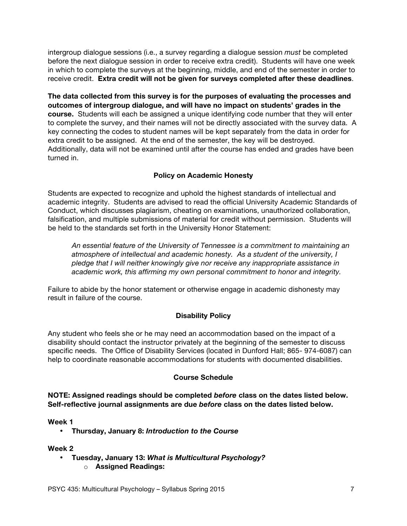intergroup dialogue sessions (i.e., a survey regarding a dialogue session *must* be completed before the next dialogue session in order to receive extra credit). Students will have one week in which to complete the surveys at the beginning, middle, and end of the semester in order to receive credit. **Extra credit will not be given for surveys completed after these deadlines**.

**The data collected from this survey is for the purposes of evaluating the processes and outcomes of intergroup dialogue, and will have no impact on students' grades in the course.** Students will each be assigned a unique identifying code number that they will enter to complete the survey, and their names will not be directly associated with the survey data. A key connecting the codes to student names will be kept separately from the data in order for extra credit to be assigned. At the end of the semester, the key will be destroyed. Additionally, data will not be examined until after the course has ended and grades have been turned in.

# **Policy on Academic Honesty**

Students are expected to recognize and uphold the highest standards of intellectual and academic integrity. Students are advised to read the official University Academic Standards of Conduct, which discusses plagiarism, cheating on examinations, unauthorized collaboration, falsification, and multiple submissions of material for credit without permission. Students will be held to the standards set forth in the University Honor Statement:

*An essential feature of the University of Tennessee is a commitment to maintaining an atmosphere of intellectual and academic honesty. As a student of the university, I pledge that I will neither knowingly give nor receive any inappropriate assistance in academic work, this affirming my own personal commitment to honor and integrity.*

Failure to abide by the honor statement or otherwise engage in academic dishonesty may result in failure of the course.

# **Disability Policy**

Any student who feels she or he may need an accommodation based on the impact of a disability should contact the instructor privately at the beginning of the semester to discuss specific needs. The Office of Disability Services (located in Dunford Hall; 865- 974-6087) can help to coordinate reasonable accommodations for students with documented disabilities.

# **Course Schedule**

**NOTE: Assigned readings should be completed** *before* **class on the dates listed below. Self-reflective journal assignments are due** *before* **class on the dates listed below.**

#### **Week 1**

• **Thursday, January 8:** *Introduction to the Course*

- **Tuesday, January 13:** *What is Multicultural Psychology?*
	- o **Assigned Readings:**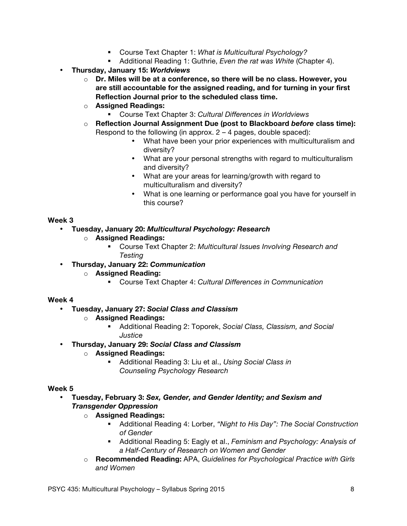- § Course Text Chapter 1: *What is Multicultural Psychology?*
- Additional Reading 1: Guthrie, *Even the rat was White* (Chapter 4).
- **Thursday, January 15:** *Worldviews*
	- o **Dr. Miles will be at a conference, so there will be no class. However, you are still accountable for the assigned reading, and for turning in your first Reflection Journal prior to the scheduled class time.**
	- o **Assigned Readings:**
		- § Course Text Chapter 3: *Cultural Differences in Worldviews*
	- o **Reflection Journal Assignment Due (post to Blackboard** *before* **class time):**  Respond to the following (in approx.  $2 - 4$  pages, double spaced):
		- What have been your prior experiences with multiculturalism and diversity?
		- What are your personal strengths with regard to multiculturalism and diversity?
		- What are your areas for learning/growth with regard to multiculturalism and diversity?
		- What is one learning or performance goal you have for yourself in this course?

# • **Tuesday, January 20:** *Multicultural Psychology: Research*

- o **Assigned Readings:**
	- § Course Text Chapter 2: *Multicultural Issues Involving Research and Testing*
- **Thursday, January 22:** *Communication*
	- o **Assigned Reading:**
		- § Course Text Chapter 4: *Cultural Differences in Communication*

# **Week 4**

- **Tuesday, January 27:** *Social Class and Classism*
	- o **Assigned Readings:**
		- § Additional Reading 2: Toporek, *Social Class, Classism, and Social Justice*
- **Thursday, January 29:** *Social Class and Classism*
	- o **Assigned Readings:**
		- § Additional Reading 3: Liu et al., *Using Social Class in Counseling Psychology Research*

- **Tuesday, February 3:** *Sex, Gender, and Gender Identity; and Sexism and Transgender Oppression*
	- o **Assigned Readings:**
		- § Additional Reading 4: Lorber, *"Night to His Day": The Social Construction of Gender*
		- § Additional Reading 5: Eagly et al., *Feminism and Psychology: Analysis of a Half-Century of Research on Women and Gender*
	- o **Recommended Reading:** APA, *Guidelines for Psychological Practice with Girls and Women*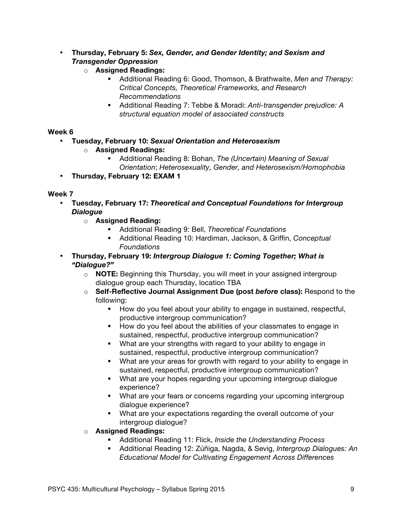- **Thursday, February 5:** *Sex, Gender, and Gender Identity; and Sexism and Transgender Oppression*
	- o **Assigned Readings:**
		- § Additional Reading 6: Good, Thomson, & Brathwaite, *Men and Therapy: Critical Concepts, Theoretical Frameworks, and Research Recommendations*
		- § Additional Reading 7: Tebbe & Moradi: *Anti-transgender prejudice: A structural equation model of associated constructs*

- **Tuesday, February 10:** *Sexual Orientation and Heterosexism*
	- o **Assigned Readings:**
		- § Additional Reading 8: Bohan, *The (Uncertain) Meaning of Sexual Orientation*; *Heterosexuality, Gender, and Heterosexism/Homophobia*
- **Thursday, February 12: EXAM 1**

- **Tuesday, February 17:** *Theoretical and Conceptual Foundations for Intergroup Dialogue*
	- o **Assigned Reading:**
		- § Additional Reading 9: Bell, *Theoretical Foundations*
		- § Additional Reading 10: Hardiman, Jackson, & Griffin, *Conceptual Foundations*
- **Thursday, February 19:** *Intergroup Dialogue 1: Coming Together; What is "Dialogue?"*
	- o **NOTE:** Beginning this Thursday, you will meet in your assigned intergroup dialogue group each Thursday, location TBA
	- o **Self-Reflective Journal Assignment Due (post** *before* **class):** Respond to the following:
		- How do you feel about your ability to engage in sustained, respectful, productive intergroup communication?
		- § How do you feel about the abilities of your classmates to engage in sustained, respectful, productive intergroup communication?
		- What are your strengths with regard to your ability to engage in sustained, respectful, productive intergroup communication?
		- What are your areas for growth with regard to your ability to engage in sustained, respectful, productive intergroup communication?
		- What are your hopes regarding your upcoming intergroup dialogue experience?
		- What are your fears or concerns regarding your upcoming intergroup dialogue experience?
		- What are your expectations regarding the overall outcome of your intergroup dialogue?
	- o **Assigned Readings:**
		- § Additional Reading 11: Flick, *Inside the Understanding Process*
		- § Additional Reading 12: Zúñiga, Nagda, & Sevig, *Intergroup Dialogues: An Educational Model for Cultivating Engagement Across Differences*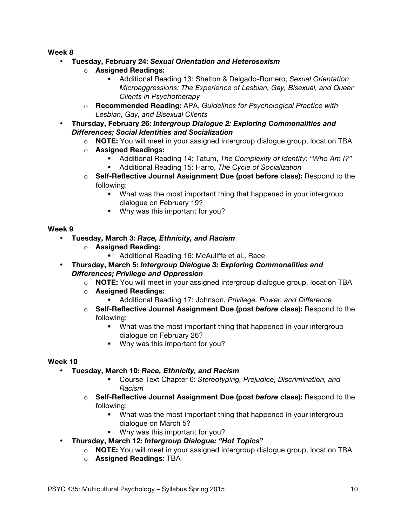- **Tuesday, February 24:** *Sexual Orientation and Heterosexism*
	- o **Assigned Readings:**
		- § Additional Reading 13: Shelton & Delgado-Romero, *Sexual Orientation Microaggressions: The Experience of Lesbian, Gay, Bisexual, and Queer Clients in Psychotherapy*
	- o **Recommended Reading:** APA, *Guidelines for Psychological Practice with Lesbian, Gay, and Bisexual Clients*
- **Thursday, February 26:** *Intergroup Dialogue 2: Exploring Commonalities and Differences; Social Identities and Socialization*
	- o **NOTE:** You will meet in your assigned intergroup dialogue group, location TBA
	- o **Assigned Readings:**
		- § Additional Reading 14: Tatum, *The Complexity of Identity: "Who Am I?"*
		- § Additional Reading 15: Harro, *The Cycle of Socialization*
	- o **Self-Reflective Journal Assignment Due (post before class):** Respond to the following:
		- What was the most important thing that happened in your intergroup dialogue on February 19?
		- Why was this important for you?

#### **Week 9**

- **Tuesday, March 3:** *Race, Ethnicity, and Racism*
	- o **Assigned Reading:**
		- Additional Reading 16: McAuliffe et al., Race
- **Thursday, March 5:** *Intergroup Dialogue 3: Exploring Commonalities and Differences; Privilege and Oppression*
	- o **NOTE:** You will meet in your assigned intergroup dialogue group, location TBA
		- o **Assigned Readings:**
			- § Additional Reading 17: Johnson, *Privilege, Power, and Difference*
		- o **Self-Reflective Journal Assignment Due (post** *before* **class):** Respond to the following:
			- What was the most important thing that happened in your intergroup dialogue on February 26?
			- Why was this important for you?

- **Tuesday, March 10:** *Race, Ethnicity, and Racism*
	- § Course Text Chapter 6: *Stereotyping, Prejudice, Discrimination, and Racism*
	- o **Self-Reflective Journal Assignment Due (post** *before* **class):** Respond to the following:
		- What was the most important thing that happened in your intergroup dialogue on March 5?
		- Why was this important for you?
- **Thursday, March 12:** *Intergroup Dialogue: "Hot Topics"*
	- o **NOTE:** You will meet in your assigned intergroup dialogue group, location TBA
	- o **Assigned Readings:** TBA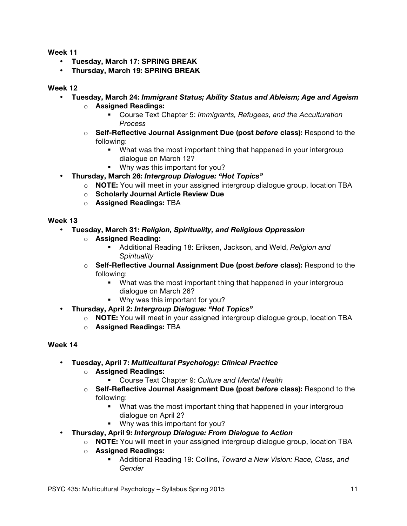- **Tuesday, March 17: SPRING BREAK**
- **Thursday, March 19: SPRING BREAK**

#### **Week 12**

- **Tuesday, March 24:** *Immigrant Status; Ability Status and Ableism; Age and Ageism*
	- o **Assigned Readings:**
		- § Course Text Chapter 5: *Immigrants, Refugees, and the Acculturation Process*
		- o **Self-Reflective Journal Assignment Due (post** *before* **class):** Respond to the following:
			- What was the most important thing that happened in your intergroup dialogue on March 12?
			- Why was this important for you?
- **Thursday, March 26:** *Intergroup Dialogue: "Hot Topics"*
	- o **NOTE:** You will meet in your assigned intergroup dialogue group, location TBA
	- o **Scholarly Journal Article Review Due**
	- o **Assigned Readings:** TBA

#### **Week 13**

- **Tuesday, March 31:** *Religion, Spirituality, and Religious Oppression*
	- o **Assigned Reading:** 
		- § Additional Reading 18: Eriksen, Jackson, and Weld, *Religion and Spirituality*
	- o **Self-Reflective Journal Assignment Due (post** *before* **class):** Respond to the following:
		- What was the most important thing that happened in your intergroup dialogue on March 26?
		- Why was this important for you?
- **Thursday, April 2:** *Intergroup Dialogue: "Hot Topics"*
	- o **NOTE:** You will meet in your assigned intergroup dialogue group, location TBA
	- o **Assigned Readings:** TBA

- **Tuesday, April 7:** *Multicultural Psychology: Clinical Practice*
	- o **Assigned Readings:**
		- § Course Text Chapter 9: *Culture and Mental Health*
	- o **Self-Reflective Journal Assignment Due (post** *before* **class):** Respond to the following:
		- What was the most important thing that happened in your intergroup dialogue on April 2?
		- Why was this important for you?
- **Thursday, April 9:** *Intergroup Dialogue: From Dialogue to Action*
	- o **NOTE:** You will meet in your assigned intergroup dialogue group, location TBA
	- o **Assigned Readings:**
		- § Additional Reading 19: Collins, *Toward a New Vision: Race, Class, and Gender*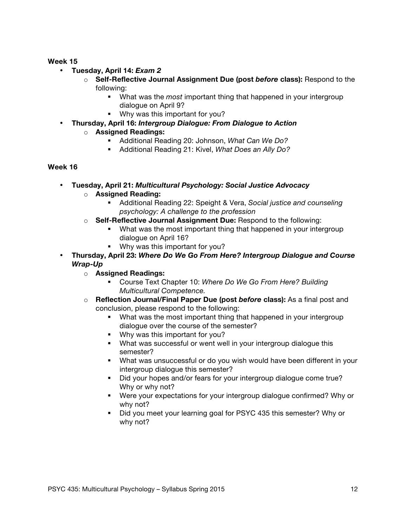- **Tuesday, April 14:** *Exam 2*
	- o **Self-Reflective Journal Assignment Due (post** *before* **class):** Respond to the following:
		- § What was the *most* important thing that happened in your intergroup dialogue on April 9?
		- Why was this important for you?
- **Thursday, April 16:** *Intergroup Dialogue: From Dialogue to Action*

# o **Assigned Readings:**

- § Additional Reading 20: Johnson, *What Can We Do?*
- § Additional Reading 21: Kivel, *What Does an Ally Do?*

- **Tuesday, April 21:** *Multicultural Psychology: Social Justice Advocacy*
	- o **Assigned Reading:**
		- § Additional Reading 22: Speight & Vera, *Social justice and counseling psychology: A challenge to the profession*
	- o **Self-Reflective Journal Assignment Due:** Respond to the following:
		- What was the most important thing that happened in your intergroup dialogue on April 16?
		- Why was this important for you?
- **Thursday, April 23:** *Where Do We Go From Here? Intergroup Dialogue and Course Wrap-Up*
	- o **Assigned Readings:**
		- § Course Text Chapter 10: *Where Do We Go From Here? Building Multicultural Competence.*
	- o **Reflection Journal/Final Paper Due (post** *before* **class):** As a final post and conclusion, please respond to the following:
		- What was the most important thing that happened in your intergroup dialogue over the course of the semester?
		- Why was this important for you?
		- What was successful or went well in your intergroup dialogue this semester?
		- What was unsuccessful or do you wish would have been different in your intergroup dialogue this semester?
		- Did your hopes and/or fears for your intergroup dialogue come true? Why or why not?
		- § Were your expectations for your intergroup dialogue confirmed? Why or why not?
		- Did you meet your learning goal for PSYC 435 this semester? Why or why not?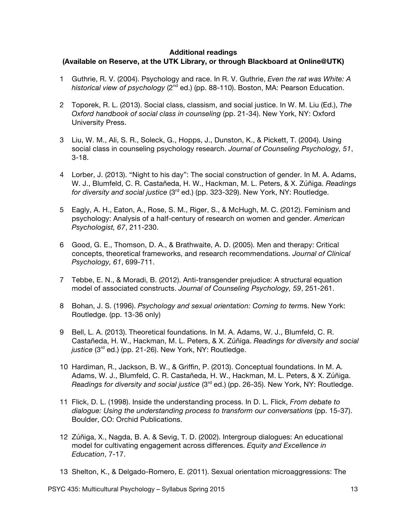#### **Additional readings**

#### **(Available on Reserve, at the UTK Library, or through Blackboard at Online@UTK)**

- 1 Guthrie, R. V. (2004). Psychology and race. In R. V. Guthrie, *Even the rat was White: A historical view of psychology* (2<sup>nd</sup> ed.) (pp. 88-110). Boston, MA: Pearson Education.
- 2 Toporek, R. L. (2013). Social class, classism, and social justice. In W. M. Liu (Ed.), *The Oxford handbook of social class in counseling* (pp. 21-34). New York, NY: Oxford University Press.
- 3 Liu, W. M., Ali, S. R., Soleck, G., Hopps, J., Dunston, K., & Pickett, T. (2004). Using social class in counseling psychology research. *Journal of Counseling Psychology, 51*, 3-18.
- 4 Lorber, J. (2013). "Night to his day": The social construction of gender. In M. A. Adams, W. J., Blumfeld, C. R. Castañeda, H. W., Hackman, M. L. Peters, & X. Zúñiga. *Readings for diversity and social justice* (3rd ed.) (pp. 323-329). New York, NY: Routledge.
- 5 Eagly, A. H., Eaton, A., Rose, S. M., Riger, S., & McHugh, M. C. (2012). Feminism and psychology: Analysis of a half-century of research on women and gender. *American Psychologist, 67*, 211-230.
- 6 Good, G. E., Thomson, D. A., & Brathwaite, A. D. (2005). Men and therapy: Critical concepts, theoretical frameworks, and research recommendations. *Journal of Clinical Psychology, 61*, 699-711.
- 7 Tebbe, E. N., & Moradi, B. (2012). Anti-transgender prejudice: A structural equation model of associated constructs. *Journal of Counseling Psychology, 59*, 251-261.
- 8 Bohan, J. S. (1996). *Psychology and sexual orientation: Coming to term*s. New York: Routledge. (pp. 13-36 only)
- 9 Bell, L. A. (2013). Theoretical foundations. In M. A. Adams, W. J., Blumfeld, C. R. Castañeda, H. W., Hackman, M. L. Peters, & X. Zúñiga. *Readings for diversity and social*  justice (3<sup>rd</sup> ed.) (pp. 21-26). New York, NY: Routledge.
- 10 Hardiman, R., Jackson, B. W., & Griffin, P. (2013). Conceptual foundations. In M. A. Adams, W. J., Blumfeld, C. R. Castañeda, H. W., Hackman, M. L. Peters, & X. Zúñiga. *Readings for diversity and social justice* (3<sup>rd</sup> ed.) (pp. 26-35). New York, NY: Routledge.
- 11 Flick, D. L. (1998). Inside the understanding process. In D. L. Flick, *From debate to dialogue: Using the understanding process to transform our conversations* (pp. 15-37). Boulder, CO: Orchid Publications.
- 12 Zúñiga, X., Nagda, B. A. & Sevig, T. D. (2002). Intergroup dialogues: An educational model for cultivating engagement across differences. *Equity and Excellence in Education*, 7-17.
- 13 Shelton, K., & Delgado-Romero, E. (2011). Sexual orientation microaggressions: The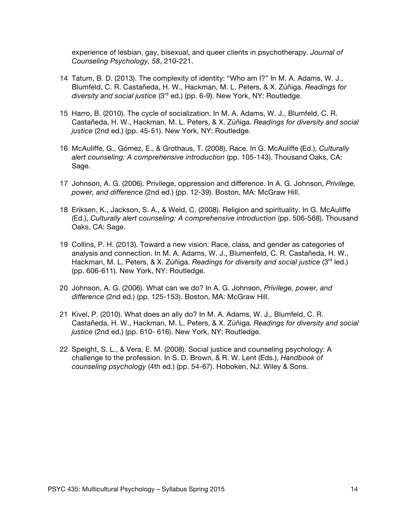experience of lesbian, gay, bisexual, and queer clients in psychotherapy. *Journal of Counseling Psychology, 58*, 210-221.

- 14 Tatum, B. D. (2013). The complexity of identity: "Who am I?" In M. A. Adams, W. J., Blumfeld, C. R. Castañeda, H. W., Hackman, M. L. Peters, & X. Zúñiga. *Readings for diversity and social justice* (3rd ed.) (pp. 6-9). New York, NY: Routledge.
- 15 Harro, B. (2010). The cycle of socialization. In M. A. Adams, W. J., Blumfeld, C. R. Castañeda, H. W., Hackman, M. L. Peters, & X. Zúñiga. *Readings for diversity and social justice* (2nd ed.) (pp. 45-51). New York, NY: Routledge.
- 16 McAuliffe, G., Gómez, E., & Grothaus, T. (2008). Race. In G. McAuliffe (Ed.), *Culturally alert counseling: A comprehensive introduction* (pp. 105-143). Thousand Oaks, CA: Sage.
- 17 Johnson, A. G. (2006). Privilege, oppression and difference. In A. G. Johnson, *Privilege, power, and difference* (2nd ed.) (pp. 12-39). Boston, MA: McGraw Hill.
- 18 Eriksen, K., Jackson, S. A., & Weld, C. (2008). Religion and spirituality. In G. McAuliffe (Ed.), *Culturally alert counseling: A comprehensive introduction* (pp. 506-568). Thousand Oaks, CA: Sage.
- 19 Collins, P. H. (2013). Toward a new vision: Race, class, and gender as categories of analysis and connection. In M. A. Adams, W. J., Blumenfeld, C. R. Castañeda, H. W., Hackman, M. L. Peters, & X. Zúñiga. *Readings for diversity and social justice* (3<sup>rd</sup> led.) (pp. 606-611). New York, NY: Routledge.
- 20 Johnson, A. G. (2006). What can we do? In A. G. Johnson, *Privilege, power, and difference* (2nd ed.) (pp. 125-153). Boston, MA: McGraw Hill.
- 21 Kivel, P. (2010). What does an ally do? In M. A. Adams, W. J., Blumfeld, C. R. Castañeda, H. W., Hackman, M. L. Peters, & X. Zúñiga. *Readings for diversity and social justice* (2nd ed.) (pp. 610- 616). New York, NY: Routledge.
- 22 Speight, S. L., & Vera, E. M. (2008). Social justice and counseling psychology: A challenge to the profession. In S. D. Brown, & R. W. Lent (Eds.), *Handbook of counseling psychology* (4th ed.) (pp. 54-67). Hoboken, NJ: Wiley & Sons.